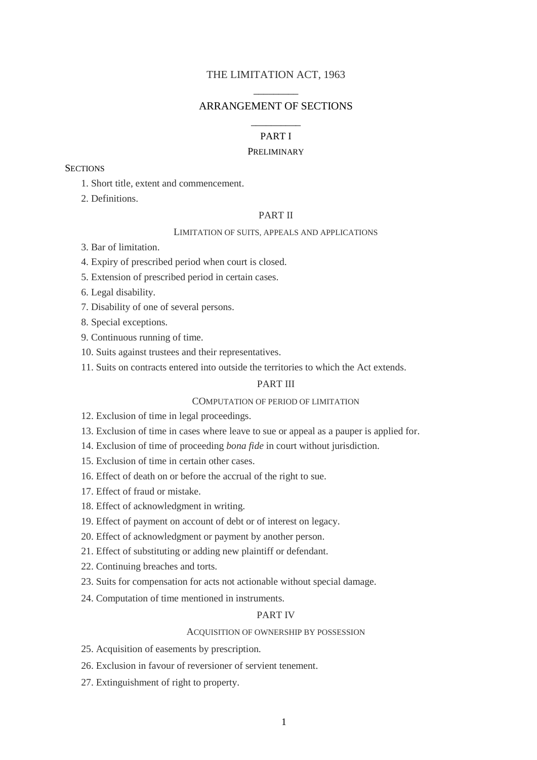# THE LIMITATION ACT, 1963 \_\_\_\_\_\_\_\_\_

# ARRANGEMENT OF SECTIONS

# \_\_\_\_\_\_\_\_\_\_ PART I

### PRELIMINARY

## **SECTIONS**

- 1. Short title, extent and commencement.
- 2. Definitions.

## PART II

## LIMITATION OF SUITS, APPEALS AND APPLICATIONS

- 3. Bar of limitation.
- 4. Expiry of prescribed period when court is closed.
- 5. Extension of prescribed period in certain cases.
- 6. Legal disability.
- 7. Disability of one of several persons.
- 8. Special exceptions.
- 9. Continuous running of time.
- 10. Suits against trustees and their representatives.
- 11. Suits on contracts entered into outside the territories to which the Act extends.

# PART III

## COMPUTATION OF PERIOD OF LIMITATION

- 12. Exclusion of time in legal proceedings.
- 13. Exclusion of time in cases where leave to sue or appeal as a pauper is applied for.
- 14. Exclusion of time of proceeding *bona fide* in court without jurisdiction.
- 15. Exclusion of time in certain other cases.
- 16. Effect of death on or before the accrual of the right to sue.
- 17. Effect of fraud or mistake.
- 18. Effect of acknowledgment in writing.
- 19. Effect of payment on account of debt or of interest on legacy.
- 20. Effect of acknowledgment or payment by another person.
- 21. Effect of substituting or adding new plaintiff or defendant.
- 22. Continuing breaches and torts.
- 23. Suits for compensation for acts not actionable without special damage.
- 24. Computation of time mentioned in instruments.

#### PART IV

### ACQUISITION OF OWNERSHIP BY POSSESSION

- 25. Acquisition of easements by prescription.
- 26. Exclusion in favour of reversioner of servient tenement.
- 27. Extinguishment of right to property.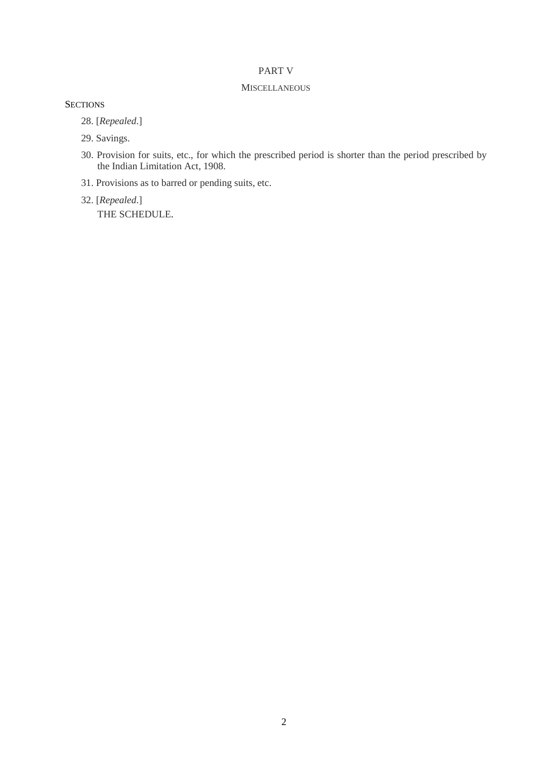# PART V

## **MISCELLANEOUS**

# **SECTIONS**

28. [*Repealed*.]

- 29. Savings.
- 30. Provision for suits, etc., for which the prescribed period is shorter than the period prescribed by the Indian Limitation Act, 1908.
- 31. Provisions as to barred or pending suits, etc.
- 32. [*Repealed*.]

THE SCHEDULE.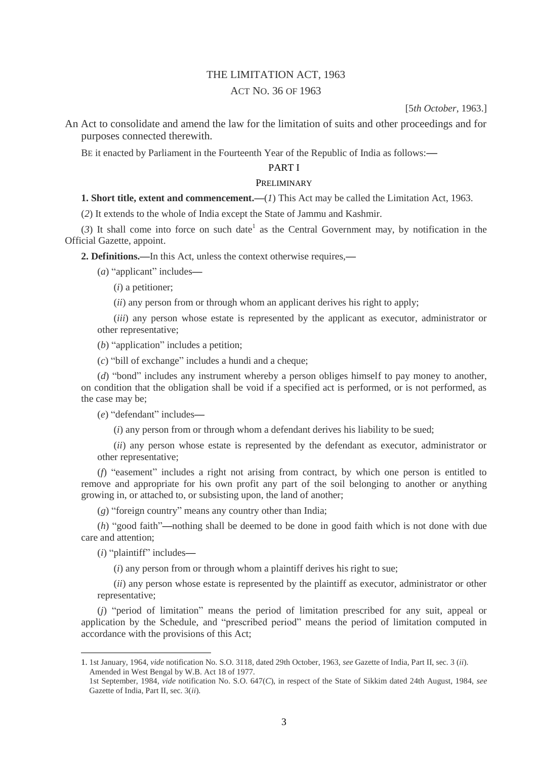# THE LIMITATION ACT, 1963

# ACT NO. 36 OF 1963

[5*th October*, 1963.]

An Act to consolidate and amend the law for the limitation of suits and other proceedings and for purposes connected therewith.

BE it enacted by Parliament in the Fourteenth Year of the Republic of India as follows:**—**

## PART I

### PRELIMINARY

**1. Short title, extent and commencement.**—(*1*) This Act may be called the Limitation Act, 1963.

(*2*) It extends to the whole of India except the State of Jammu and Kashmir.

 $(3)$  It shall come into force on such date<sup>1</sup> as the Central Government may, by notification in the Official Gazette, appoint.

**2. Definitions.—**In this Act, unless the context otherwise requires,**—**

(*a*) "applicant" includes**—**

(*i*) a petitioner;

(*ii*) any person from or through whom an applicant derives his right to apply;

(*iii*) any person whose estate is represented by the applicant as executor, administrator or other representative;

(*b*) "application" includes a petition;

(*c*) "bill of exchange" includes a hundi and a cheque;

(*d*) "bond" includes any instrument whereby a person obliges himself to pay money to another, on condition that the obligation shall be void if a specified act is performed, or is not performed, as the case may be;

(*e*) "defendant" includes**—**

(*i*) any person from or through whom a defendant derives his liability to be sued;

(*ii*) any person whose estate is represented by the defendant as executor, administrator or other representative;

(*f*) "easement" includes a right not arising from contract, by which one person is entitled to remove and appropriate for his own profit any part of the soil belonging to another or anything growing in, or attached to, or subsisting upon, the land of another;

(*g*) "foreign country" means any country other than India;

(*h*) "good faith"**—**nothing shall be deemed to be done in good faith which is not done with due care and attention;

(*i*) "plaintiff" includes**—**

**.** 

(*i*) any person from or through whom a plaintiff derives his right to sue;

(*ii*) any person whose estate is represented by the plaintiff as executor, administrator or other representative;

(*j*) "period of limitation" means the period of limitation prescribed for any suit, appeal or application by the Schedule, and "prescribed period" means the period of limitation computed in accordance with the provisions of this Act;

1. 1st January, 1964, *vide* notification No. S.O. 3118, dated 29th October, 1963, *see* Gazette of India, Part II, sec. 3 (*ii*). Amended in West Bengal by W.B. Act 18 of 1977.

<sup>1</sup>st September, 1984, *vide* notification No. S.O. 647(*C*), in respect of the State of Sikkim dated 24th August, 1984, *see* Gazette of India, Part II, sec. 3(*ii*).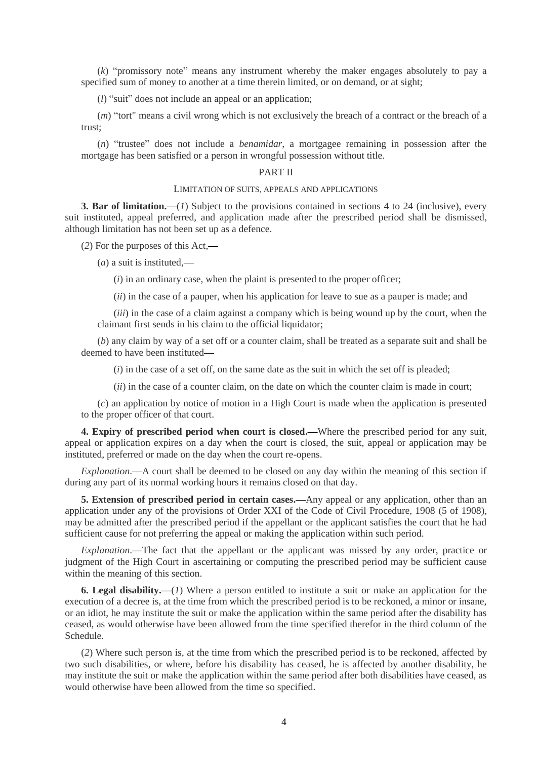(*k*) "promissory note" means any instrument whereby the maker engages absolutely to pay a specified sum of money to another at a time therein limited, or on demand, or at sight;

(*l*) "suit" does not include an appeal or an application;

(*m*) "tort" means a civil wrong which is not exclusively the breach of a contract or the breach of a trust;

(*n*) "trustee" does not include a *benamidar*, a mortgagee remaining in possession after the mortgage has been satisfied or a person in wrongful possession without title.

### PART II

### LIMITATION OF SUITS, APPEALS AND APPLICATIONS

**3. Bar of limitation.—**(*1*) Subject to the provisions contained in sections 4 to 24 (inclusive), every suit instituted, appeal preferred, and application made after the prescribed period shall be dismissed, although limitation has not been set up as a defence.

(*2*) For the purposes of this Act,**—**

(*a*) a suit is instituted,—

(*i*) in an ordinary case, when the plaint is presented to the proper officer;

(*ii*) in the case of a pauper, when his application for leave to sue as a pauper is made; and

(*iii*) in the case of a claim against a company which is being wound up by the court, when the claimant first sends in his claim to the official liquidator;

(*b*) any claim by way of a set off or a counter claim, shall be treated as a separate suit and shall be deemed to have been instituted**—**

(*i*) in the case of a set off, on the same date as the suit in which the set off is pleaded;

(*ii*) in the case of a counter claim, on the date on which the counter claim is made in court;

(*c*) an application by notice of motion in a High Court is made when the application is presented to the proper officer of that court.

**4. Expiry of prescribed period when court is closed.—**Where the prescribed period for any suit, appeal or application expires on a day when the court is closed, the suit, appeal or application may be instituted, preferred or made on the day when the court re-opens.

*Explanation*.**—**A court shall be deemed to be closed on any day within the meaning of this section if during any part of its normal working hours it remains closed on that day.

**5. Extension of prescribed period in certain cases.—**Any appeal or any application, other than an application under any of the provisions of Order XXI of the Code of Civil Procedure, 1908 (5 of 1908), may be admitted after the prescribed period if the appellant or the applicant satisfies the court that he had sufficient cause for not preferring the appeal or making the application within such period.

*Explanation*.—The fact that the appellant or the applicant was missed by any order, practice or judgment of the High Court in ascertaining or computing the prescribed period may be sufficient cause within the meaning of this section.

**6. Legal disability.—**(*1*) Where a person entitled to institute a suit or make an application for the execution of a decree is, at the time from which the prescribed period is to be reckoned, a minor or insane, or an idiot, he may institute the suit or make the application within the same period after the disability has ceased, as would otherwise have been allowed from the time specified therefor in the third column of the Schedule.

(*2*) Where such person is, at the time from which the prescribed period is to be reckoned, affected by two such disabilities, or where, before his disability has ceased, he is affected by another disability, he may institute the suit or make the application within the same period after both disabilities have ceased, as would otherwise have been allowed from the time so specified.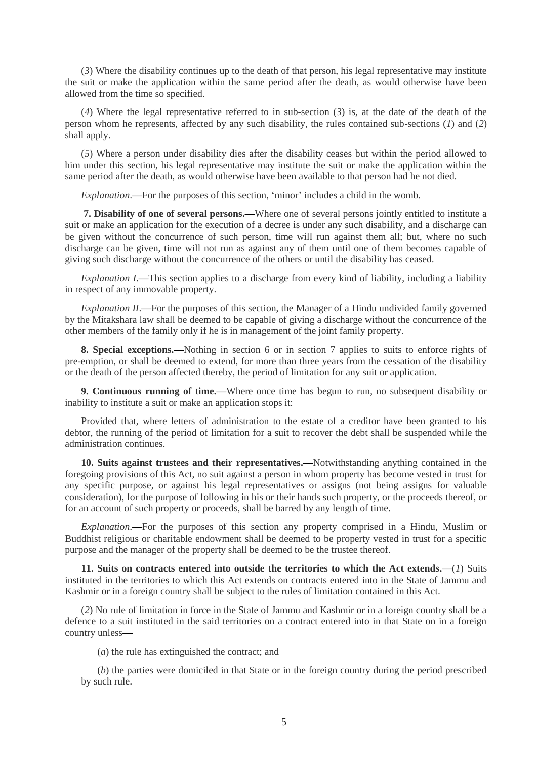(*3*) Where the disability continues up to the death of that person, his legal representative may institute the suit or make the application within the same period after the death, as would otherwise have been allowed from the time so specified.

(*4*) Where the legal representative referred to in sub-section (*3*) is, at the date of the death of the person whom he represents, affected by any such disability, the rules contained sub-sections (*1*) and (*2*) shall apply.

(*5*) Where a person under disability dies after the disability ceases but within the period allowed to him under this section, his legal representative may institute the suit or make the application within the same period after the death, as would otherwise have been available to that person had he not died.

*Explanation*.—For the purposes of this section, 'minor' includes a child in the womb.

**7. Disability of one of several persons.—**Where one of several persons jointly entitled to institute a suit or make an application for the execution of a decree is under any such disability, and a discharge can be given without the concurrence of such person, time will run against them all; but, where no such discharge can be given, time will not run as against any of them until one of them becomes capable of giving such discharge without the concurrence of the others or until the disability has ceased.

*Explanation I*.**—**This section applies to a discharge from every kind of liability, including a liability in respect of any immovable property.

*Explanation II*.**—**For the purposes of this section, the Manager of a Hindu undivided family governed by the Mitakshara law shall be deemed to be capable of giving a discharge without the concurrence of the other members of the family only if he is in management of the joint family property.

**8. Special exceptions.—**Nothing in section 6 or in section 7 applies to suits to enforce rights of pre-emption, or shall be deemed to extend, for more than three years from the cessation of the disability or the death of the person affected thereby, the period of limitation for any suit or application.

**9. Continuous running of time.—**Where once time has begun to run, no subsequent disability or inability to institute a suit or make an application stops it:

Provided that, where letters of administration to the estate of a creditor have been granted to his debtor, the running of the period of limitation for a suit to recover the debt shall be suspended while the administration continues.

**10. Suits against trustees and their representatives.—**Notwithstanding anything contained in the foregoing provisions of this Act, no suit against a person in whom property has become vested in trust for any specific purpose, or against his legal representatives or assigns (not being assigns for valuable consideration), for the purpose of following in his or their hands such property, or the proceeds thereof, or for an account of such property or proceeds, shall be barred by any length of time.

*Explanation*.**—**For the purposes of this section any property comprised in a Hindu, Muslim or Buddhist religious or charitable endowment shall be deemed to be property vested in trust for a specific purpose and the manager of the property shall be deemed to be the trustee thereof.

**11. Suits on contracts entered into outside the territories to which the Act extends.—**(*1*) Suits instituted in the territories to which this Act extends on contracts entered into in the State of Jammu and Kashmir or in a foreign country shall be subject to the rules of limitation contained in this Act.

(*2*) No rule of limitation in force in the State of Jammu and Kashmir or in a foreign country shall be a defence to a suit instituted in the said territories on a contract entered into in that State on in a foreign country unless**—**

(*a*) the rule has extinguished the contract; and

(*b*) the parties were domiciled in that State or in the foreign country during the period prescribed by such rule.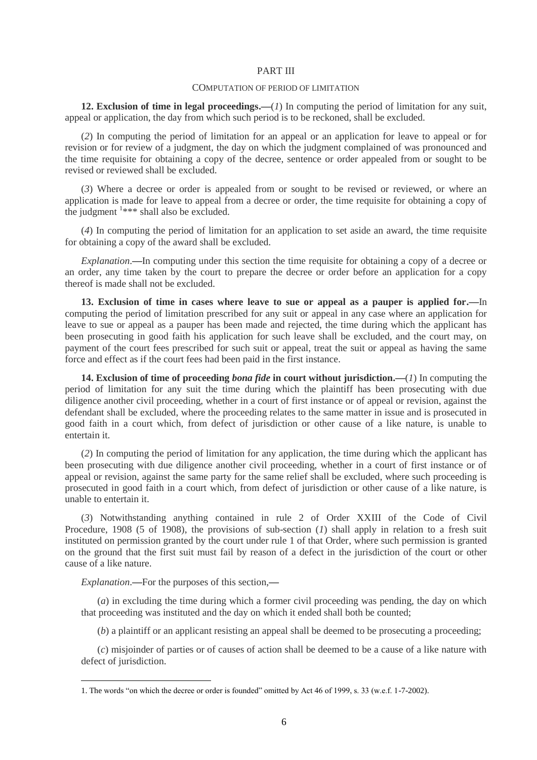### PART III

### COMPUTATION OF PERIOD OF LIMITATION

**12. Exclusion of time in legal proceedings.—**(*1*) In computing the period of limitation for any suit, appeal or application, the day from which such period is to be reckoned, shall be excluded.

(*2*) In computing the period of limitation for an appeal or an application for leave to appeal or for revision or for review of a judgment, the day on which the judgment complained of was pronounced and the time requisite for obtaining a copy of the decree, sentence or order appealed from or sought to be revised or reviewed shall be excluded.

(*3*) Where a decree or order is appealed from or sought to be revised or reviewed, or where an application is made for leave to appeal from a decree or order, the time requisite for obtaining a copy of the judgment <sup>1\*\*\*</sup> shall also be excluded.

(*4*) In computing the period of limitation for an application to set aside an award, the time requisite for obtaining a copy of the award shall be excluded.

*Explanation*.**—**In computing under this section the time requisite for obtaining a copy of a decree or an order, any time taken by the court to prepare the decree or order before an application for a copy thereof is made shall not be excluded.

**13. Exclusion of time in cases where leave to sue or appeal as a pauper is applied for.—**In computing the period of limitation prescribed for any suit or appeal in any case where an application for leave to sue or appeal as a pauper has been made and rejected, the time during which the applicant has been prosecuting in good faith his application for such leave shall be excluded, and the court may, on payment of the court fees prescribed for such suit or appeal, treat the suit or appeal as having the same force and effect as if the court fees had been paid in the first instance.

**14. Exclusion of time of proceeding** *bona fide* **in court without jurisdiction.—**(*1*) In computing the period of limitation for any suit the time during which the plaintiff has been prosecuting with due diligence another civil proceeding, whether in a court of first instance or of appeal or revision, against the defendant shall be excluded, where the proceeding relates to the same matter in issue and is prosecuted in good faith in a court which, from defect of jurisdiction or other cause of a like nature, is unable to entertain it.

(*2*) In computing the period of limitation for any application, the time during which the applicant has been prosecuting with due diligence another civil proceeding, whether in a court of first instance or of appeal or revision, against the same party for the same relief shall be excluded, where such proceeding is prosecuted in good faith in a court which, from defect of jurisdiction or other cause of a like nature, is unable to entertain it.

(*3*) Notwithstanding anything contained in rule 2 of Order XXIII of the Code of Civil Procedure, 1908 (5 of 1908), the provisions of sub-section (*1*) shall apply in relation to a fresh suit instituted on permission granted by the court under rule 1 of that Order, where such permission is granted on the ground that the first suit must fail by reason of a defect in the jurisdiction of the court or other cause of a like nature.

*Explanation*.**—**For the purposes of this section,**—**

**.** 

(*a*) in excluding the time during which a former civil proceeding was pending, the day on which that proceeding was instituted and the day on which it ended shall both be counted;

(*b*) a plaintiff or an applicant resisting an appeal shall be deemed to be prosecuting a proceeding;

(*c*) misjoinder of parties or of causes of action shall be deemed to be a cause of a like nature with defect of jurisdiction.

<sup>1.</sup> The words "on which the decree or order is founded" omitted by Act 46 of 1999, s. 33 (w.e.f. 1-7-2002).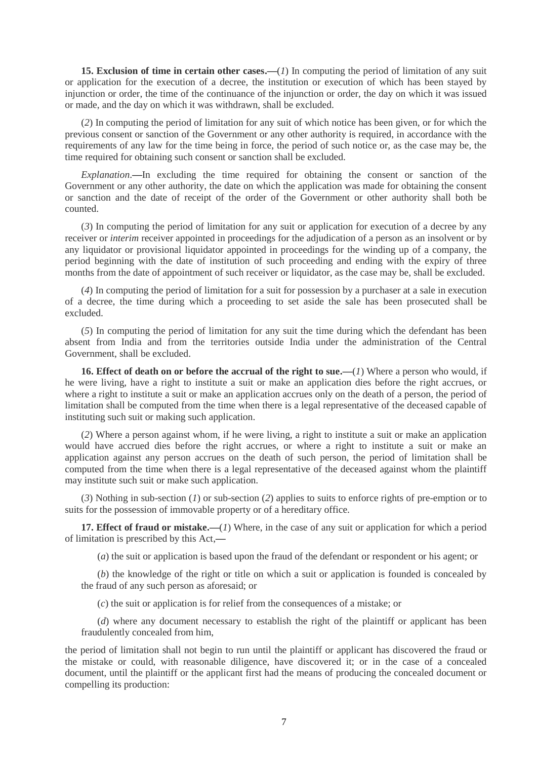**15. Exclusion of time in certain other cases.—**(*1*) In computing the period of limitation of any suit or application for the execution of a decree, the institution or execution of which has been stayed by injunction or order, the time of the continuance of the injunction or order, the day on which it was issued or made, and the day on which it was withdrawn, shall be excluded.

(*2*) In computing the period of limitation for any suit of which notice has been given, or for which the previous consent or sanction of the Government or any other authority is required, in accordance with the requirements of any law for the time being in force, the period of such notice or, as the case may be, the time required for obtaining such consent or sanction shall be excluded.

*Explanation*.**—**In excluding the time required for obtaining the consent or sanction of the Government or any other authority, the date on which the application was made for obtaining the consent or sanction and the date of receipt of the order of the Government or other authority shall both be counted.

(*3*) In computing the period of limitation for any suit or application for execution of a decree by any receiver or *interim* receiver appointed in proceedings for the adjudication of a person as an insolvent or by any liquidator or provisional liquidator appointed in proceedings for the winding up of a company, the period beginning with the date of institution of such proceeding and ending with the expiry of three months from the date of appointment of such receiver or liquidator, as the case may be, shall be excluded.

(*4*) In computing the period of limitation for a suit for possession by a purchaser at a sale in execution of a decree, the time during which a proceeding to set aside the sale has been prosecuted shall be excluded.

(*5*) In computing the period of limitation for any suit the time during which the defendant has been absent from India and from the territories outside India under the administration of the Central Government, shall be excluded.

**16. Effect of death on or before the accrual of the right to sue.—**(*1*) Where a person who would, if he were living, have a right to institute a suit or make an application dies before the right accrues, or where a right to institute a suit or make an application accrues only on the death of a person, the period of limitation shall be computed from the time when there is a legal representative of the deceased capable of instituting such suit or making such application.

(*2*) Where a person against whom, if he were living, a right to institute a suit or make an application would have accrued dies before the right accrues, or where a right to institute a suit or make an application against any person accrues on the death of such person, the period of limitation shall be computed from the time when there is a legal representative of the deceased against whom the plaintiff may institute such suit or make such application.

(*3*) Nothing in sub-section (*1*) or sub-section (*2*) applies to suits to enforce rights of pre-emption or to suits for the possession of immovable property or of a hereditary office.

**17. Effect of fraud or mistake.—**(*1*) Where, in the case of any suit or application for which a period of limitation is prescribed by this Act,**—**

(*a*) the suit or application is based upon the fraud of the defendant or respondent or his agent; or

(*b*) the knowledge of the right or title on which a suit or application is founded is concealed by the fraud of any such person as aforesaid; or

(*c*) the suit or application is for relief from the consequences of a mistake; or

(*d*) where any document necessary to establish the right of the plaintiff or applicant has been fraudulently concealed from him,

the period of limitation shall not begin to run until the plaintiff or applicant has discovered the fraud or the mistake or could, with reasonable diligence, have discovered it; or in the case of a concealed document, until the plaintiff or the applicant first had the means of producing the concealed document or compelling its production: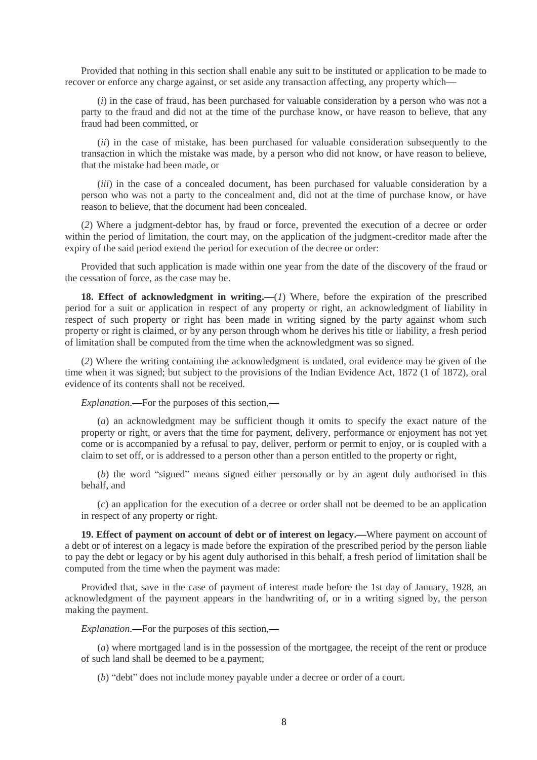Provided that nothing in this section shall enable any suit to be instituted or application to be made to recover or enforce any charge against, or set aside any transaction affecting, any property which**—**

(*i*) in the case of fraud, has been purchased for valuable consideration by a person who was not a party to the fraud and did not at the time of the purchase know, or have reason to believe, that any fraud had been committed, or

(*ii*) in the case of mistake, has been purchased for valuable consideration subsequently to the transaction in which the mistake was made, by a person who did not know, or have reason to believe, that the mistake had been made, or

(*iii*) in the case of a concealed document, has been purchased for valuable consideration by a person who was not a party to the concealment and, did not at the time of purchase know, or have reason to believe, that the document had been concealed.

(*2*) Where a judgment-debtor has, by fraud or force, prevented the execution of a decree or order within the period of limitation, the court may, on the application of the judgment-creditor made after the expiry of the said period extend the period for execution of the decree or order:

Provided that such application is made within one year from the date of the discovery of the fraud or the cessation of force, as the case may be.

**18. Effect of acknowledgment in writing.**—(*1*) Where, before the expiration of the prescribed period for a suit or application in respect of any property or right, an acknowledgment of liability in respect of such property or right has been made in writing signed by the party against whom such property or right is claimed, or by any person through whom he derives his title or liability, a fresh period of limitation shall be computed from the time when the acknowledgment was so signed.

(*2*) Where the writing containing the acknowledgment is undated, oral evidence may be given of the time when it was signed; but subject to the provisions of the Indian Evidence Act, 1872 (1 of 1872), oral evidence of its contents shall not be received.

*Explanation*.**—**For the purposes of this section,**—**

(*a*) an acknowledgment may be sufficient though it omits to specify the exact nature of the property or right, or avers that the time for payment, delivery, performance or enjoyment has not yet come or is accompanied by a refusal to pay, deliver, perform or permit to enjoy, or is coupled with a claim to set off, or is addressed to a person other than a person entitled to the property or right,

(*b*) the word "signed" means signed either personally or by an agent duly authorised in this behalf, and

(*c*) an application for the execution of a decree or order shall not be deemed to be an application in respect of any property or right.

**19. Effect of payment on account of debt or of interest on legacy.—**Where payment on account of a debt or of interest on a legacy is made before the expiration of the prescribed period by the person liable to pay the debt or legacy or by his agent duly authorised in this behalf, a fresh period of limitation shall be computed from the time when the payment was made:

Provided that, save in the case of payment of interest made before the 1st day of January, 1928, an acknowledgment of the payment appears in the handwriting of, or in a writing signed by, the person making the payment.

*Explanation*.**—**For the purposes of this section,**—**

(*a*) where mortgaged land is in the possession of the mortgagee, the receipt of the rent or produce of such land shall be deemed to be a payment;

(*b*) "debt" does not include money payable under a decree or order of a court.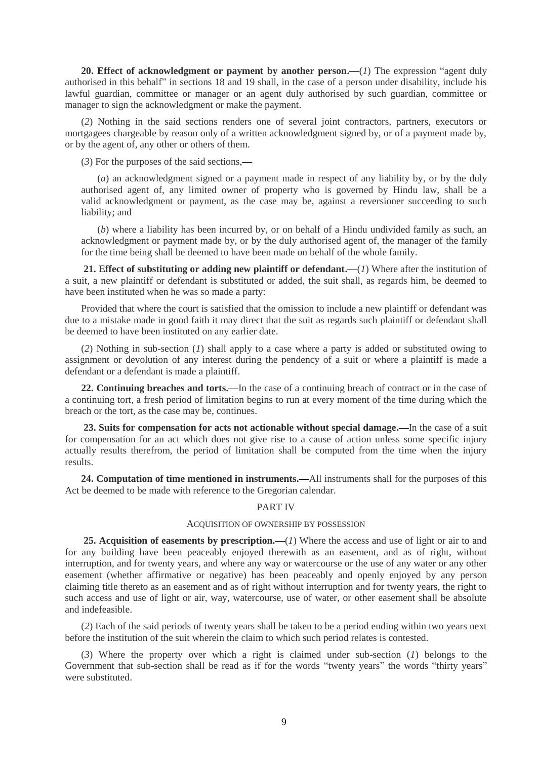**20. Effect of acknowledgment or payment by another person.—**(*1*) The expression "agent duly authorised in this behalf" in sections 18 and 19 shall, in the case of a person under disability, include his lawful guardian, committee or manager or an agent duly authorised by such guardian, committee or manager to sign the acknowledgment or make the payment.

(*2*) Nothing in the said sections renders one of several joint contractors, partners, executors or mortgagees chargeable by reason only of a written acknowledgment signed by, or of a payment made by, or by the agent of, any other or others of them.

(*3*) For the purposes of the said sections,**—**

(*a*) an acknowledgment signed or a payment made in respect of any liability by, or by the duly authorised agent of, any limited owner of property who is governed by Hindu law, shall be a valid acknowledgment or payment, as the case may be, against a reversioner succeeding to such liability; and

(*b*) where a liability has been incurred by, or on behalf of a Hindu undivided family as such, an acknowledgment or payment made by, or by the duly authorised agent of, the manager of the family for the time being shall be deemed to have been made on behalf of the whole family.

**21. Effect of substituting or adding new plaintiff or defendant.—**(*1*) Where after the institution of a suit, a new plaintiff or defendant is substituted or added, the suit shall, as regards him, be deemed to have been instituted when he was so made a party:

Provided that where the court is satisfied that the omission to include a new plaintiff or defendant was due to a mistake made in good faith it may direct that the suit as regards such plaintiff or defendant shall be deemed to have been instituted on any earlier date.

(*2*) Nothing in sub-section (*1*) shall apply to a case where a party is added or substituted owing to assignment or devolution of any interest during the pendency of a suit or where a plaintiff is made a defendant or a defendant is made a plaintiff.

**22. Continuing breaches and torts.—**In the case of a continuing breach of contract or in the case of a continuing tort, a fresh period of limitation begins to run at every moment of the time during which the breach or the tort, as the case may be, continues.

**23. Suits for compensation for acts not actionable without special damage.—**In the case of a suit for compensation for an act which does not give rise to a cause of action unless some specific injury actually results therefrom, the period of limitation shall be computed from the time when the injury results.

**24. Computation of time mentioned in instruments.—**All instruments shall for the purposes of this Act be deemed to be made with reference to the Gregorian calendar.

### PART IV

#### ACQUISITION OF OWNERSHIP BY POSSESSION

**25. Acquisition of easements by prescription.—**(*1*) Where the access and use of light or air to and for any building have been peaceably enjoyed therewith as an easement, and as of right, without interruption, and for twenty years, and where any way or watercourse or the use of any water or any other easement (whether affirmative or negative) has been peaceably and openly enjoyed by any person claiming title thereto as an easement and as of right without interruption and for twenty years, the right to such access and use of light or air, way, watercourse, use of water, or other easement shall be absolute and indefeasible.

(*2*) Each of the said periods of twenty years shall be taken to be a period ending within two years next before the institution of the suit wherein the claim to which such period relates is contested.

(*3*) Where the property over which a right is claimed under sub-section (*1*) belongs to the Government that sub-section shall be read as if for the words "twenty years" the words "thirty years" were substituted.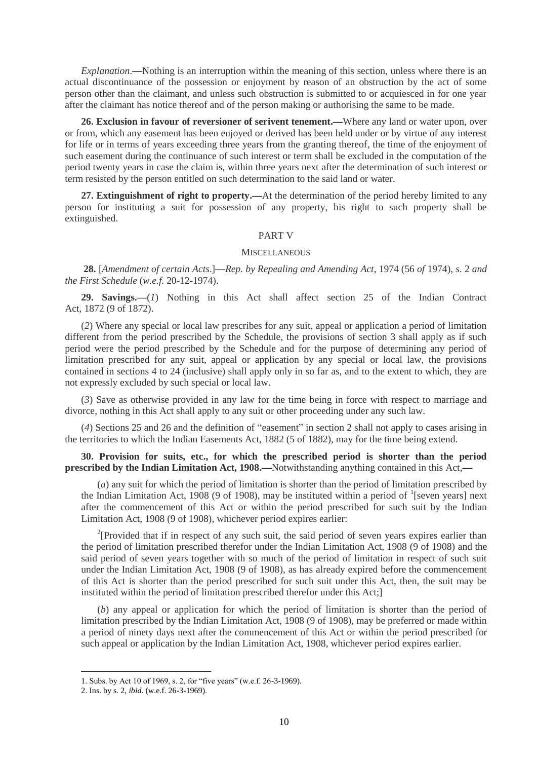*Explanation*.**—**Nothing is an interruption within the meaning of this section, unless where there is an actual discontinuance of the possession or enjoyment by reason of an obstruction by the act of some person other than the claimant, and unless such obstruction is submitted to or acquiesced in for one year after the claimant has notice thereof and of the person making or authorising the same to be made.

**26. Exclusion in favour of reversioner of serivent tenement.—**Where any land or water upon, over or from, which any easement has been enjoyed or derived has been held under or by virtue of any interest for life or in terms of years exceeding three years from the granting thereof, the time of the enjoyment of such easement during the continuance of such interest or term shall be excluded in the computation of the period twenty years in case the claim is, within three years next after the determination of such interest or term resisted by the person entitled on such determination to the said land or water.

**27. Extinguishment of right to property.—**At the determination of the period hereby limited to any person for instituting a suit for possession of any property, his right to such property shall be extinguished.

#### PART V

### **MISCELLANEOUS**

**28.** [*Amendment of certain Acts*.]**—***Rep. by Repealing and Amending Act,* 1974 (56 *of* 1974), *s*. 2 *and the First Schedule* (*w.e.f.* 20-12-1974).

**29. Savings.—**(*1*) Nothing in this Act shall affect section 25 of the Indian Contract Act, 1872 (9 of 1872).

(*2*) Where any special or local law prescribes for any suit, appeal or application a period of limitation different from the period prescribed by the Schedule, the provisions of section 3 shall apply as if such period were the period prescribed by the Schedule and for the purpose of determining any period of limitation prescribed for any suit, appeal or application by any special or local law, the provisions contained in sections 4 to 24 (inclusive) shall apply only in so far as, and to the extent to which, they are not expressly excluded by such special or local law.

(*3*) Save as otherwise provided in any law for the time being in force with respect to marriage and divorce, nothing in this Act shall apply to any suit or other proceeding under any such law.

(*4*) Sections 25 and 26 and the definition of "easement" in section 2 shall not apply to cases arising in the territories to which the Indian Easements Act, 1882 (5 of 1882), may for the time being extend.

**30. Provision for suits, etc., for which the prescribed period is shorter than the period prescribed by the Indian Limitation Act, 1908.—**Notwithstanding anything contained in this Act,**—**

(*a*) any suit for which the period of limitation is shorter than the period of limitation prescribed by the Indian Limitation Act, 1908 (9 of 1908), may be instituted within a period of <sup>1</sup>[seven years] next after the commencement of this Act or within the period prescribed for such suit by the Indian Limitation Act, 1908 (9 of 1908), whichever period expires earlier:

<sup>2</sup>[Provided that if in respect of any such suit, the said period of seven years expires earlier than the period of limitation prescribed therefor under the Indian Limitation Act, 1908 (9 of 1908) and the said period of seven years together with so much of the period of limitation in respect of such suit under the Indian Limitation Act, 1908 (9 of 1908), as has already expired before the commencement of this Act is shorter than the period prescribed for such suit under this Act, then, the suit may be instituted within the period of limitation prescribed therefor under this Act;]

(*b*) any appeal or application for which the period of limitation is shorter than the period of limitation prescribed by the Indian Limitation Act, 1908 (9 of 1908), may be preferred or made within a period of ninety days next after the commencement of this Act or within the period prescribed for such appeal or application by the Indian Limitation Act, 1908, whichever period expires earlier.

1

<sup>1.</sup> Subs. by Act 10 of 1969, s. 2, for "five years" (w.e.f. 26-3-1969).

<sup>2.</sup> Ins. by s. 2, *ibid*. (w.e.f. 26-3-1969).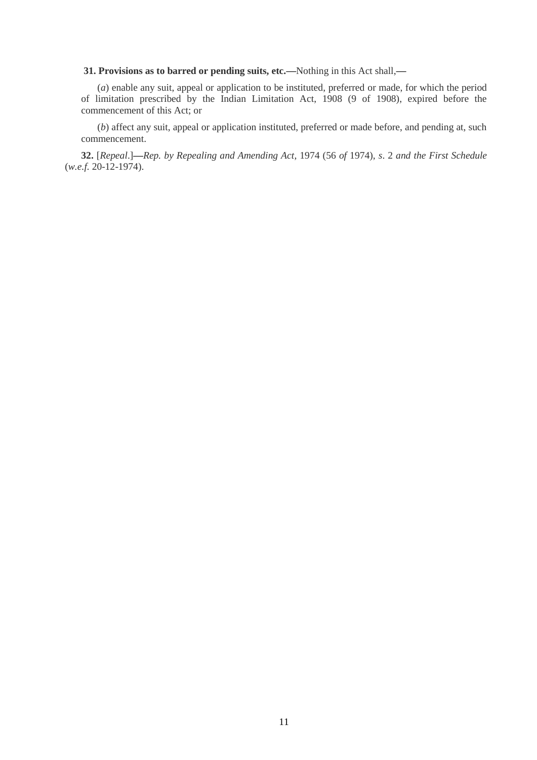**31. Provisions as to barred or pending suits, etc.—**Nothing in this Act shall,**—**

(*a*) enable any suit, appeal or application to be instituted, preferred or made, for which the period of limitation prescribed by the Indian Limitation Act, 1908 (9 of 1908), expired before the commencement of this Act; or

(*b*) affect any suit, appeal or application instituted, preferred or made before, and pending at, such commencement.

**32.** [*Repeal*.]**—***Rep. by Repealing and Amending Act,* 1974 (56 *of* 1974), *s*. 2 *and the First Schedule* (*w.e.f.* 20-12-1974).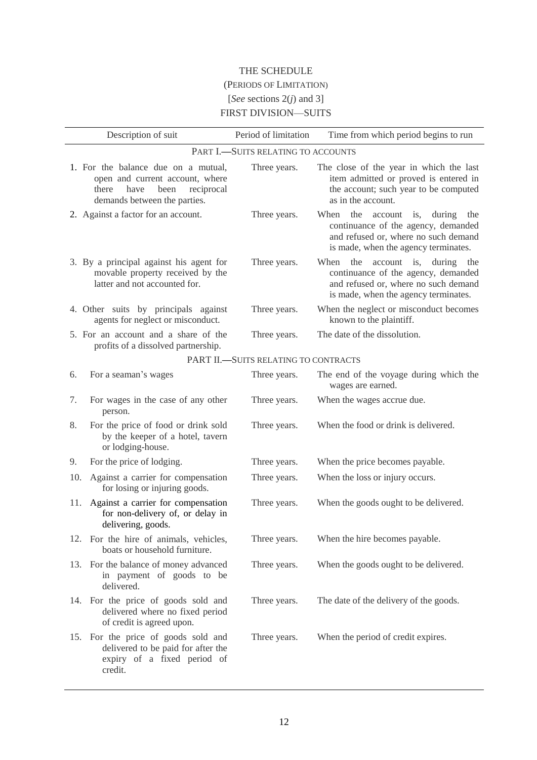# THE SCHEDULE (PERIODS OF LIMITATION) [*See* sections 2(*j*) and 3] FIRST DIVISION—SUITS

|     | Description of suit                                                                                                                           | Period of limitation                 | Time from which period begins to run                                                                                                                               |
|-----|-----------------------------------------------------------------------------------------------------------------------------------------------|--------------------------------------|--------------------------------------------------------------------------------------------------------------------------------------------------------------------|
|     |                                                                                                                                               | PART I.-SUITS RELATING TO ACCOUNTS   |                                                                                                                                                                    |
|     | 1. For the balance due on a mutual,<br>open and current account, where<br>there<br>have<br>been<br>reciprocal<br>demands between the parties. | Three years.                         | The close of the year in which the last<br>item admitted or proved is entered in<br>the account; such year to be computed<br>as in the account.                    |
|     | 2. Against a factor for an account.                                                                                                           | Three years.                         | When<br>the<br>during<br>account is,<br>the<br>continuance of the agency, demanded<br>and refused or, where no such demand<br>is made, when the agency terminates. |
|     | 3. By a principal against his agent for<br>movable property received by the<br>latter and not accounted for.                                  | Three years.                         | When<br>the<br>account is, during<br>the<br>continuance of the agency, demanded<br>and refused or, where no such demand<br>is made, when the agency terminates.    |
|     | 4. Other suits by principals against<br>agents for neglect or misconduct.                                                                     | Three years.                         | When the neglect or misconduct becomes<br>known to the plaintiff.                                                                                                  |
|     | 5. For an account and a share of the<br>profits of a dissolved partnership.                                                                   | Three years.                         | The date of the dissolution.                                                                                                                                       |
|     |                                                                                                                                               | PART II.-SUITS RELATING TO CONTRACTS |                                                                                                                                                                    |
| 6.  | For a seaman's wages                                                                                                                          | Three years.                         | The end of the voyage during which the<br>wages are earned.                                                                                                        |
| 7.  | For wages in the case of any other<br>person.                                                                                                 | Three years.                         | When the wages accrue due.                                                                                                                                         |
| 8.  | For the price of food or drink sold<br>by the keeper of a hotel, tavern<br>or lodging-house.                                                  | Three years.                         | When the food or drink is delivered.                                                                                                                               |
| 9.  | For the price of lodging.                                                                                                                     | Three years.                         | When the price becomes payable.                                                                                                                                    |
| 10. | Against a carrier for compensation<br>for losing or injuring goods.                                                                           | Three years.                         | When the loss or injury occurs.                                                                                                                                    |
| 11. | Against a carrier for compensation<br>for non-delivery of, or delay in<br>delivering, goods.                                                  | Three years.                         | When the goods ought to be delivered.                                                                                                                              |
|     | 12. For the hire of animals, vehicles,<br>boats or household furniture.                                                                       | Three years.                         | When the hire becomes payable.                                                                                                                                     |
|     | 13. For the balance of money advanced<br>in payment of goods to be<br>delivered.                                                              | Three years.                         | When the goods ought to be delivered.                                                                                                                              |
|     | 14. For the price of goods sold and<br>delivered where no fixed period<br>of credit is agreed upon.                                           | Three years.                         | The date of the delivery of the goods.                                                                                                                             |
| 15. | For the price of goods sold and<br>delivered to be paid for after the<br>expiry of a fixed period of<br>credit.                               | Three years.                         | When the period of credit expires.                                                                                                                                 |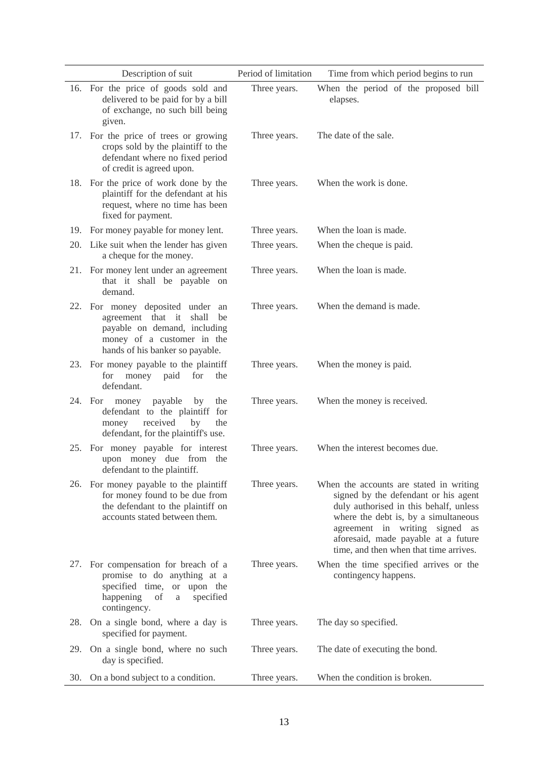|     | Description of suit                                                                                                                                                      | Period of limitation | Time from which period begins to run                                                                                                                                                                                                                                                 |
|-----|--------------------------------------------------------------------------------------------------------------------------------------------------------------------------|----------------------|--------------------------------------------------------------------------------------------------------------------------------------------------------------------------------------------------------------------------------------------------------------------------------------|
|     | 16. For the price of goods sold and<br>delivered to be paid for by a bill<br>of exchange, no such bill being<br>given.                                                   | Three years.         | When the period of the proposed bill<br>elapses.                                                                                                                                                                                                                                     |
|     | 17. For the price of trees or growing<br>crops sold by the plaintiff to the<br>defendant where no fixed period<br>of credit is agreed upon.                              | Three years.         | The date of the sale.                                                                                                                                                                                                                                                                |
|     | 18. For the price of work done by the<br>plaintiff for the defendant at his<br>request, where no time has been<br>fixed for payment.                                     | Three years.         | When the work is done.                                                                                                                                                                                                                                                               |
|     | 19. For money payable for money lent.                                                                                                                                    | Three years.         | When the loan is made.                                                                                                                                                                                                                                                               |
|     | 20. Like suit when the lender has given<br>a cheque for the money.                                                                                                       | Three years.         | When the cheque is paid.                                                                                                                                                                                                                                                             |
|     | 21. For money lent under an agreement<br>that it shall be payable on<br>demand.                                                                                          | Three years.         | When the loan is made.                                                                                                                                                                                                                                                               |
|     | 22. For money deposited under<br>an<br>agreement that it<br>shall<br>be<br>payable on demand, including<br>money of a customer in the<br>hands of his banker so payable. | Three years.         | When the demand is made.                                                                                                                                                                                                                                                             |
|     | 23. For money payable to the plaintiff<br>money<br>for<br>for<br>paid<br>the<br>defendant.                                                                               | Three years.         | When the money is paid.                                                                                                                                                                                                                                                              |
|     | payable<br>24. For<br>money<br>by<br>the<br>defendant to the plaintiff for<br>received<br>by<br>money<br>the<br>defendant, for the plaintiff's use.                      | Three years.         | When the money is received.                                                                                                                                                                                                                                                          |
|     | 25. For money payable for interest<br>upon money due from the<br>defendant to the plaintiff.                                                                             | Three years.         | When the interest becomes due.                                                                                                                                                                                                                                                       |
|     | 26. For money payable to the plaintiff<br>for money found to be due from<br>the defendant to the plaintiff on<br>accounts stated between them.                           | Three years.         | When the accounts are stated in writing<br>signed by the defendant or his agent<br>duly authorised in this behalf, unless<br>where the debt is, by a simultaneous<br>agreement in writing signed as<br>aforesaid, made payable at a future<br>time, and then when that time arrives. |
|     | 27. For compensation for breach of a<br>promise to do anything at a<br>specified time, or upon the<br>happening<br>of<br>specified<br>$\rm{a}$<br>contingency.           | Three years.         | When the time specified arrives or the<br>contingency happens.                                                                                                                                                                                                                       |
| 28. | On a single bond, where a day is<br>specified for payment.                                                                                                               | Three years.         | The day so specified.                                                                                                                                                                                                                                                                |
| 29. | On a single bond, where no such<br>day is specified.                                                                                                                     | Three years.         | The date of executing the bond.                                                                                                                                                                                                                                                      |
| 30. | On a bond subject to a condition.                                                                                                                                        | Three years.         | When the condition is broken.                                                                                                                                                                                                                                                        |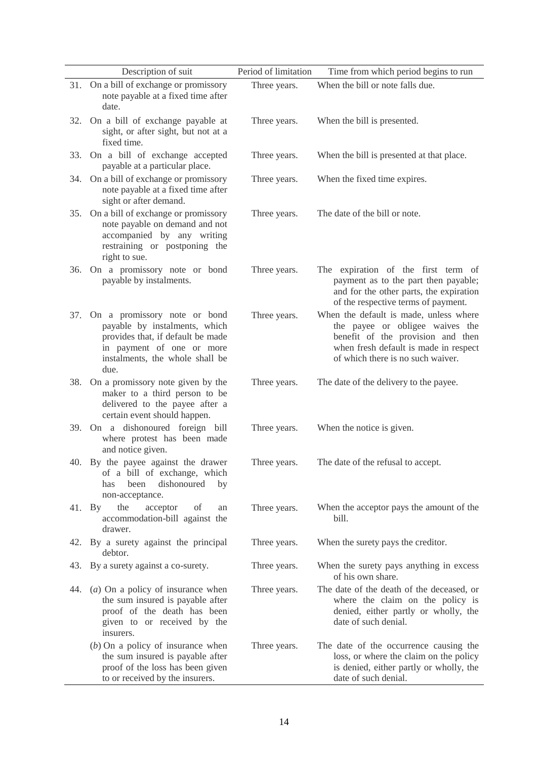|     | Description of suit                                                                                                                                                        | Period of limitation | Time from which period begins to run                                                                                                                                                         |
|-----|----------------------------------------------------------------------------------------------------------------------------------------------------------------------------|----------------------|----------------------------------------------------------------------------------------------------------------------------------------------------------------------------------------------|
|     | 31. On a bill of exchange or promissory<br>note payable at a fixed time after<br>date.                                                                                     | Three years.         | When the bill or note falls due.                                                                                                                                                             |
| 32. | On a bill of exchange payable at<br>sight, or after sight, but not at a<br>fixed time.                                                                                     | Three years.         | When the bill is presented.                                                                                                                                                                  |
| 33. | On a bill of exchange accepted<br>payable at a particular place.                                                                                                           | Three years.         | When the bill is presented at that place.                                                                                                                                                    |
| 34. | On a bill of exchange or promissory<br>note payable at a fixed time after<br>sight or after demand.                                                                        | Three years.         | When the fixed time expires.                                                                                                                                                                 |
| 35. | On a bill of exchange or promissory<br>note payable on demand and not<br>accompanied by any writing<br>restraining or postponing the<br>right to sue.                      | Three years.         | The date of the bill or note.                                                                                                                                                                |
| 36. | On a promissory note or bond<br>payable by instalments.                                                                                                                    | Three years.         | The expiration of the first term of<br>payment as to the part then payable;<br>and for the other parts, the expiration<br>of the respective terms of payment.                                |
| 37. | On a promissory note or bond<br>payable by instalments, which<br>provides that, if default be made<br>in payment of one or more<br>instalments, the whole shall be<br>due. | Three years.         | When the default is made, unless where<br>the payee or obligee waives the<br>benefit of the provision and then<br>when fresh default is made in respect<br>of which there is no such waiver. |
| 38. | On a promissory note given by the<br>maker to a third person to be<br>delivered to the payee after a<br>certain event should happen.                                       | Three years.         | The date of the delivery to the payee.                                                                                                                                                       |
|     | 39. On a dishonoured foreign bill<br>where protest has been made<br>and notice given.                                                                                      | Three years.         | When the notice is given.                                                                                                                                                                    |
|     | 40. By the payee against the drawer<br>of a bill of exchange, which<br>dishonoured<br>been<br>by<br>has<br>non-acceptance.                                                 | Three years.         | The date of the refusal to accept.                                                                                                                                                           |
|     | the<br>acceptor<br>of<br>41. By<br>an<br>accommodation-bill against the<br>drawer.                                                                                         | Three years.         | When the acceptor pays the amount of the<br>bill.                                                                                                                                            |
| 42. | By a surety against the principal<br>debtor.                                                                                                                               | Three years.         | When the surety pays the creditor.                                                                                                                                                           |
| 43. | By a surety against a co-surety.                                                                                                                                           | Three years.         | When the surety pays anything in excess<br>of his own share.                                                                                                                                 |
| 44. | $(a)$ On a policy of insurance when<br>the sum insured is payable after<br>proof of the death has been<br>given to or received by the<br>insurers.                         | Three years.         | The date of the death of the deceased, or<br>where the claim on the policy is<br>denied, either partly or wholly, the<br>date of such denial.                                                |
|     | $(b)$ On a policy of insurance when<br>the sum insured is payable after<br>proof of the loss has been given<br>to or received by the insurers.                             | Three years.         | The date of the occurrence causing the<br>loss, or where the claim on the policy<br>is denied, either partly or wholly, the<br>date of such denial.                                          |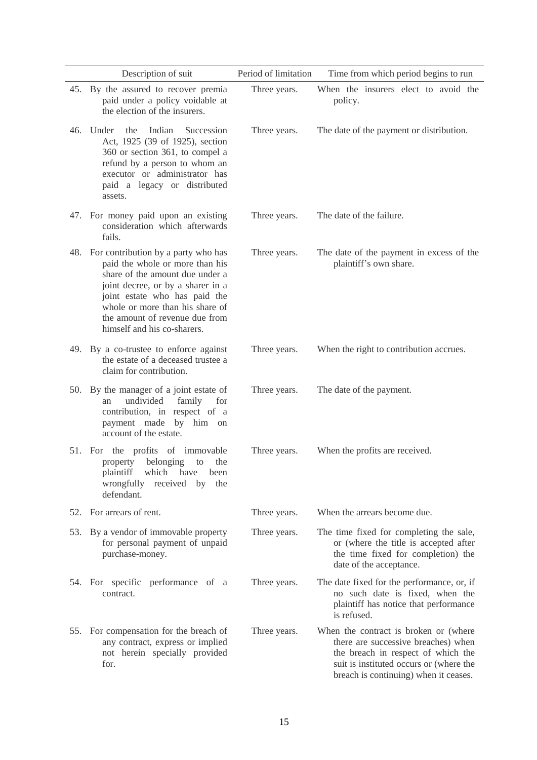|     | Description of suit                                                                                                                                                                                                                                                                     | Period of limitation | Time from which period begins to run                                                                                                                                                                   |
|-----|-----------------------------------------------------------------------------------------------------------------------------------------------------------------------------------------------------------------------------------------------------------------------------------------|----------------------|--------------------------------------------------------------------------------------------------------------------------------------------------------------------------------------------------------|
|     | 45. By the assured to recover premia<br>paid under a policy voidable at<br>the election of the insurers.                                                                                                                                                                                | Three years.         | When the insurers elect to avoid the<br>policy.                                                                                                                                                        |
|     | 46. Under<br>the<br>Indian<br>Succession<br>Act, 1925 (39 of 1925), section<br>360 or section 361, to compel a<br>refund by a person to whom an<br>executor or administrator has<br>paid a legacy or distributed<br>assets.                                                             | Three years.         | The date of the payment or distribution.                                                                                                                                                               |
|     | 47. For money paid upon an existing<br>consideration which afterwards<br>fails.                                                                                                                                                                                                         | Three years.         | The date of the failure.                                                                                                                                                                               |
|     | 48. For contribution by a party who has<br>paid the whole or more than his<br>share of the amount due under a<br>joint decree, or by a sharer in a<br>joint estate who has paid the<br>whole or more than his share of<br>the amount of revenue due from<br>himself and his co-sharers. | Three years.         | The date of the payment in excess of the<br>plaintiff's own share.                                                                                                                                     |
|     | 49. By a co-trustee to enforce against<br>the estate of a deceased trustee a<br>claim for contribution.                                                                                                                                                                                 | Three years.         | When the right to contribution accrues.                                                                                                                                                                |
|     | 50. By the manager of a joint estate of<br>undivided<br>family for<br>an<br>contribution, in respect of a<br>payment made by him on<br>account of the estate.                                                                                                                           | Three years.         | The date of the payment.                                                                                                                                                                               |
|     | 51. For the profits of immovable<br>property belonging<br>to<br>the<br>plaintiff which have been<br>wrongfully<br>received by<br>the<br>defendant.                                                                                                                                      | Three years.         | When the profits are received.                                                                                                                                                                         |
|     | 52. For arrears of rent.                                                                                                                                                                                                                                                                | Three years.         | When the arrears become due.                                                                                                                                                                           |
| 53. | By a vendor of immovable property<br>for personal payment of unpaid<br>purchase-money.                                                                                                                                                                                                  | Three years.         | The time fixed for completing the sale,<br>or (where the title is accepted after<br>the time fixed for completion) the<br>date of the acceptance.                                                      |
|     | 54. For specific performance of a<br>contract.                                                                                                                                                                                                                                          | Three years.         | The date fixed for the performance, or, if<br>no such date is fixed, when the<br>plaintiff has notice that performance<br>is refused.                                                                  |
|     | 55. For compensation for the breach of<br>any contract, express or implied<br>not herein specially provided<br>for.                                                                                                                                                                     | Three years.         | When the contract is broken or (where<br>there are successive breaches) when<br>the breach in respect of which the<br>suit is instituted occurs or (where the<br>breach is continuing) when it ceases. |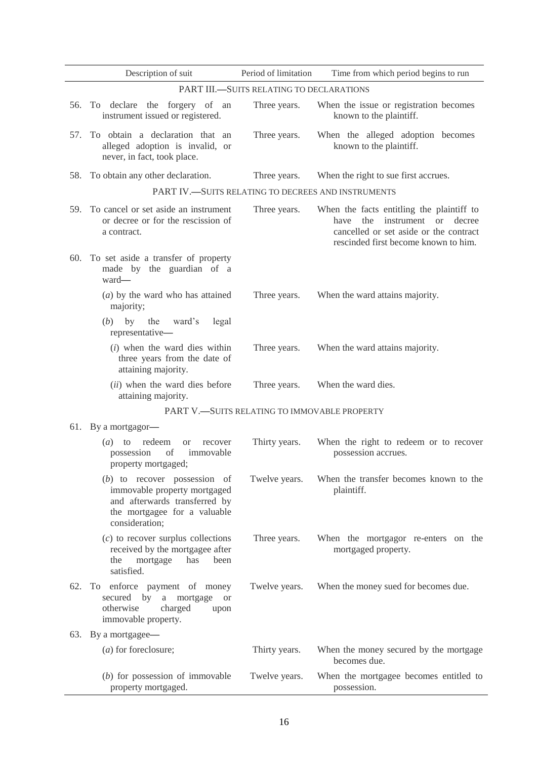|     | Description of suit                                                                                                                               | Period of limitation                         | Time from which period begins to run                                                                                                                               |  |  |
|-----|---------------------------------------------------------------------------------------------------------------------------------------------------|----------------------------------------------|--------------------------------------------------------------------------------------------------------------------------------------------------------------------|--|--|
|     | PART III.-SUITS RELATING TO DECLARATIONS                                                                                                          |                                              |                                                                                                                                                                    |  |  |
| 56. | To declare the forgery of an<br>instrument issued or registered.                                                                                  | Three years.                                 | When the issue or registration becomes<br>known to the plaintiff.                                                                                                  |  |  |
| 57. | To obtain a declaration that an<br>alleged adoption is invalid, or<br>never, in fact, took place.                                                 | Three years.                                 | When the alleged adoption becomes<br>known to the plaintiff.                                                                                                       |  |  |
| 58. | To obtain any other declaration.                                                                                                                  | Three years.                                 | When the right to sue first accrues.                                                                                                                               |  |  |
|     | PART IV.-SUITS RELATING TO DECREES AND INSTRUMENTS                                                                                                |                                              |                                                                                                                                                                    |  |  |
|     | 59. To cancel or set aside an instrument<br>or decree or for the rescission of<br>a contract.                                                     | Three years.                                 | When the facts entitling the plaintiff to<br>the<br>instrument or decree<br>have<br>cancelled or set aside or the contract<br>rescinded first become known to him. |  |  |
|     | 60. To set aside a transfer of property<br>made by the guardian of a<br>ward-                                                                     |                                              |                                                                                                                                                                    |  |  |
|     | $(a)$ by the ward who has attained<br>majority;                                                                                                   | Three years.                                 | When the ward attains majority.                                                                                                                                    |  |  |
|     | (b)<br>by the<br>ward's<br>legal<br>representative-                                                                                               |                                              |                                                                                                                                                                    |  |  |
|     | $(i)$ when the ward dies within<br>three years from the date of<br>attaining majority.                                                            | Three years.                                 | When the ward attains majority.                                                                                                                                    |  |  |
|     | (ii) when the ward dies before<br>attaining majority.                                                                                             | Three years.                                 | When the ward dies.                                                                                                                                                |  |  |
|     |                                                                                                                                                   | PART V.-SUITS RELATING TO IMMOVABLE PROPERTY |                                                                                                                                                                    |  |  |
|     | 61. By a mortgagor-                                                                                                                               |                                              |                                                                                                                                                                    |  |  |
|     | $(a)$ to redeem<br><sub>or</sub><br>recover<br>of<br>possession<br>immovable<br>property mortgaged;                                               | Thirty years.                                | When the right to redeem or to recover<br>possession accrues.                                                                                                      |  |  |
|     | $(b)$ to recover possession of<br>immovable property mortgaged<br>and afterwards transferred by<br>the mortgagee for a valuable<br>consideration; | Twelve years.                                | When the transfer becomes known to the<br>plaintiff.                                                                                                               |  |  |
|     | $(c)$ to recover surplus collections<br>received by the mortgagee after<br>the<br>mortgage<br>has<br>been<br>satisfied.                           | Three years.                                 | When the mortgagor re-enters on the<br>mortgaged property.                                                                                                         |  |  |
| 62. | To enforce payment of money<br>secured by<br>mortgage<br>a<br><b>or</b><br>otherwise<br>charged<br>upon<br>immovable property.                    | Twelve years.                                | When the money sued for becomes due.                                                                                                                               |  |  |
|     | 63. By a mortgagee—                                                                                                                               |                                              |                                                                                                                                                                    |  |  |
|     | (a) for foreclosure;                                                                                                                              | Thirty years.                                | When the money secured by the mortgage<br>becomes due.                                                                                                             |  |  |
|     | $(b)$ for possession of immovable<br>property mortgaged.                                                                                          | Twelve years.                                | When the mortgagee becomes entitled to<br>possession.                                                                                                              |  |  |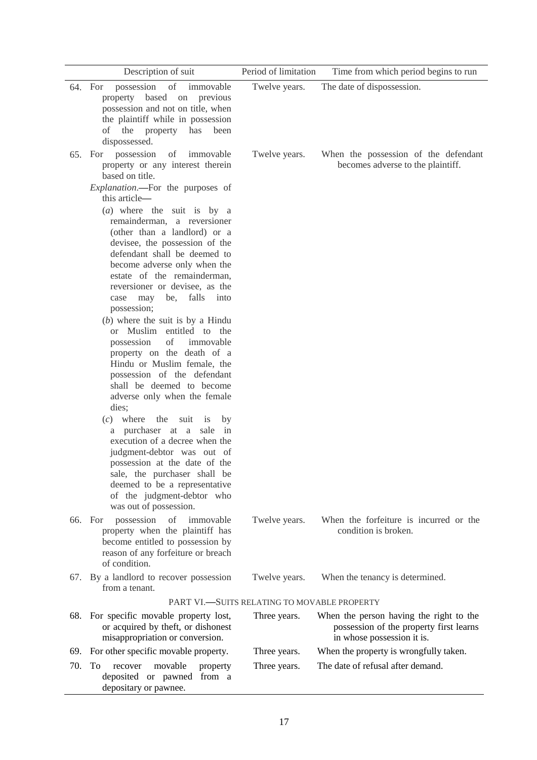|     | Description of suit                                                                                                                                                                                                                                                                                                                                                                                                                                                                                                                                                                                                                                                                                                                                                                                                                                                                                                                                                                                                                             | Period of limitation                        | Time from which period begins to run                                                                             |
|-----|-------------------------------------------------------------------------------------------------------------------------------------------------------------------------------------------------------------------------------------------------------------------------------------------------------------------------------------------------------------------------------------------------------------------------------------------------------------------------------------------------------------------------------------------------------------------------------------------------------------------------------------------------------------------------------------------------------------------------------------------------------------------------------------------------------------------------------------------------------------------------------------------------------------------------------------------------------------------------------------------------------------------------------------------------|---------------------------------------------|------------------------------------------------------------------------------------------------------------------|
|     | possession of<br>immovable<br>64. For<br>property based on previous<br>possession and not on title, when<br>the plaintiff while in possession<br>of the property has<br>been<br>dispossessed.                                                                                                                                                                                                                                                                                                                                                                                                                                                                                                                                                                                                                                                                                                                                                                                                                                                   | Twelve years.                               | The date of dispossession.                                                                                       |
| 65. | possession<br>For<br>of<br>immovable<br>property or any interest therein<br>based on title.<br><i>Explanation</i> .-- For the purposes of<br>this article—<br>$(a)$ where the suit is by a<br>remainderman, a reversioner<br>(other than a landlord) or a<br>devisee, the possession of the<br>defendant shall be deemed to<br>become adverse only when the<br>estate of the remainderman,<br>reversioner or devisee, as the<br>may be, falls into<br>case<br>possession;<br>$(b)$ where the suit is by a Hindu<br>or Muslim entitled to the<br>possession<br>of<br>immovable<br>property on the death of a<br>Hindu or Muslim female, the<br>possession of the defendant<br>shall be deemed to become<br>adverse only when the female<br>dies;<br>$(c)$ where<br>the<br>suit<br>1S<br>by<br>a purchaser at a sale in<br>execution of a decree when the<br>judgment-debtor was out of<br>possession at the date of the<br>sale, the purchaser shall be<br>deemed to be a representative<br>of the judgment-debtor who<br>was out of possession. | Twelve years.                               | When the possession of the defendant<br>becomes adverse to the plaintiff.                                        |
|     | 66. For<br>possession<br>of<br>immovable<br>property when the plaintiff has<br>become entitled to possession by<br>reason of any forfeiture or breach<br>of condition.                                                                                                                                                                                                                                                                                                                                                                                                                                                                                                                                                                                                                                                                                                                                                                                                                                                                          | Twelve years.                               | When the forfeiture is incurred or the<br>condition is broken.                                                   |
| 67. | By a landlord to recover possession<br>from a tenant.                                                                                                                                                                                                                                                                                                                                                                                                                                                                                                                                                                                                                                                                                                                                                                                                                                                                                                                                                                                           | Twelve years.                               | When the tenancy is determined.                                                                                  |
|     |                                                                                                                                                                                                                                                                                                                                                                                                                                                                                                                                                                                                                                                                                                                                                                                                                                                                                                                                                                                                                                                 | PART VI.-SUITS RELATING TO MOVABLE PROPERTY |                                                                                                                  |
|     | 68. For specific movable property lost,<br>or acquired by theft, or dishonest<br>misappropriation or conversion.                                                                                                                                                                                                                                                                                                                                                                                                                                                                                                                                                                                                                                                                                                                                                                                                                                                                                                                                | Three years.                                | When the person having the right to the<br>possession of the property first learns<br>in whose possession it is. |
| 69. | For other specific movable property.                                                                                                                                                                                                                                                                                                                                                                                                                                                                                                                                                                                                                                                                                                                                                                                                                                                                                                                                                                                                            | Three years.                                | When the property is wrongfully taken.                                                                           |
| 70. | To<br>movable<br>recover<br>property<br>deposited or pawned from a<br>depositary or pawnee.                                                                                                                                                                                                                                                                                                                                                                                                                                                                                                                                                                                                                                                                                                                                                                                                                                                                                                                                                     | Three years.                                | The date of refusal after demand.                                                                                |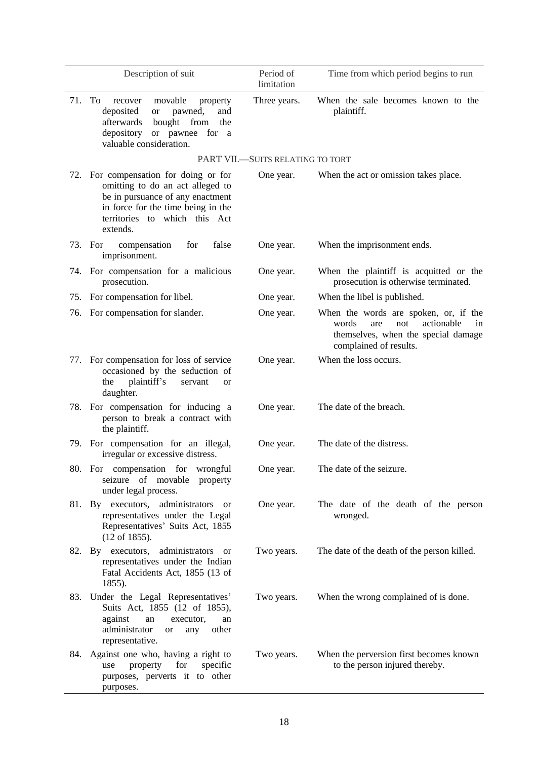|     | Description of suit                                                                                                                                                                              | Period of<br>limitation          | Time from which period begins to run                                                                                                              |
|-----|--------------------------------------------------------------------------------------------------------------------------------------------------------------------------------------------------|----------------------------------|---------------------------------------------------------------------------------------------------------------------------------------------------|
|     | 71. To<br>movable<br>property<br>recover<br>deposited<br>pawned,<br>and<br><b>or</b><br>afterwards<br>bought<br>from<br>the<br>depository or pawnee for a<br>valuable consideration.             | Three years.                     | When the sale becomes known to the<br>plaintiff.                                                                                                  |
|     |                                                                                                                                                                                                  | PART VII.-SUITS RELATING TO TORT |                                                                                                                                                   |
|     | 72. For compensation for doing or for<br>omitting to do an act alleged to<br>be in pursuance of any enactment<br>in force for the time being in the<br>territories to which this Act<br>extends. | One year.                        | When the act or omission takes place.                                                                                                             |
|     | 73. For<br>compensation<br>false<br>for<br>imprisonment.                                                                                                                                         | One year.                        | When the imprisonment ends.                                                                                                                       |
|     | 74. For compensation for a malicious<br>prosecution.                                                                                                                                             | One year.                        | When the plaintiff is acquitted or the<br>prosecution is otherwise terminated.                                                                    |
| 75. | For compensation for libel.                                                                                                                                                                      | One year.                        | When the libel is published.                                                                                                                      |
|     | 76. For compensation for slander.                                                                                                                                                                | One year.                        | When the words are spoken, or, if the<br>words<br>not<br>actionable<br>are<br>in<br>themselves, when the special damage<br>complained of results. |
|     | 77. For compensation for loss of service<br>occasioned by the seduction of<br>plaintiff's<br>the<br>servant<br><b>or</b><br>daughter.                                                            | One year.                        | When the loss occurs.                                                                                                                             |
|     | 78. For compensation for inducing a<br>person to break a contract with<br>the plaintiff.                                                                                                         | One year.                        | The date of the breach.                                                                                                                           |
|     | 79. For compensation for an illegal,<br>irregular or excessive distress.                                                                                                                         | One year.                        | The date of the distress.                                                                                                                         |
|     | 80. For compensation for wrongful<br>seizure of movable<br>property<br>under legal process.                                                                                                      | One year.                        | The date of the seizure.                                                                                                                          |
|     | 81. By executors, administrators<br><sub>or</sub><br>representatives under the Legal<br>Representatives' Suits Act, 1855<br>$(12 \text{ of } 1855).$                                             | One year.                        | The date of the death of the person<br>wronged.                                                                                                   |
|     | administrators<br>82. By executors,<br><sub>or</sub><br>representatives under the Indian<br>Fatal Accidents Act, 1855 (13 of<br>1855).                                                           | Two years.                       | The date of the death of the person killed.                                                                                                       |
|     | 83. Under the Legal Representatives'<br>Suits Act, 1855 (12 of 1855),<br>against<br>an<br>executor,<br>an<br>administrator<br>other<br><b>or</b><br>any<br>representative.                       | Two years.                       | When the wrong complained of is done.                                                                                                             |
| 84. | Against one who, having a right to<br>property<br>for<br>specific<br>use<br>purposes, perverts it to other<br>purposes.                                                                          | Two years.                       | When the perversion first becomes known<br>to the person injured thereby.                                                                         |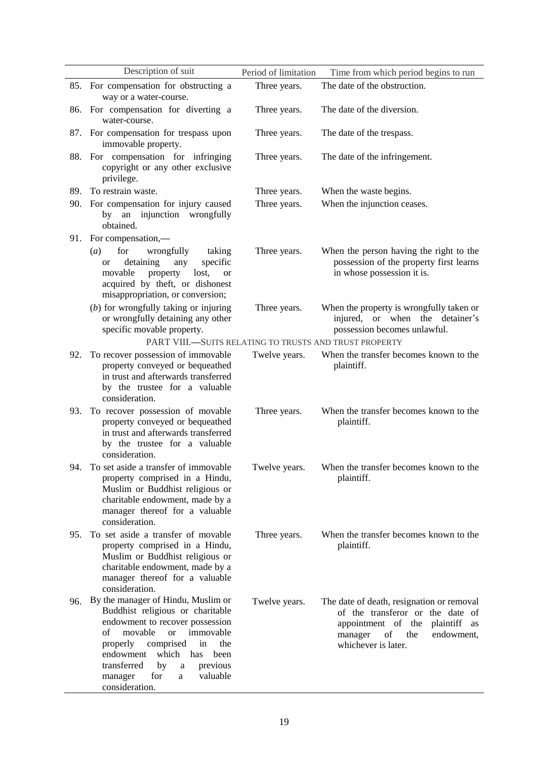|     | Description of suit                                                                                                                                                                                                                                                                                                               | Period of limitation | Time from which period begins to run                                                                                                                                          |
|-----|-----------------------------------------------------------------------------------------------------------------------------------------------------------------------------------------------------------------------------------------------------------------------------------------------------------------------------------|----------------------|-------------------------------------------------------------------------------------------------------------------------------------------------------------------------------|
|     | 85. For compensation for obstructing a<br>way or a water-course.                                                                                                                                                                                                                                                                  | Three years.         | The date of the obstruction.                                                                                                                                                  |
|     | 86. For compensation for diverting a<br>water-course.                                                                                                                                                                                                                                                                             | Three years.         | The date of the diversion.                                                                                                                                                    |
| 87. | For compensation for trespass upon<br>immovable property.                                                                                                                                                                                                                                                                         | Three years.         | The date of the trespass.                                                                                                                                                     |
| 88. | For compensation for infringing<br>copyright or any other exclusive<br>privilege.                                                                                                                                                                                                                                                 | Three years.         | The date of the infringement.                                                                                                                                                 |
| 89. | To restrain waste.                                                                                                                                                                                                                                                                                                                | Three years.         | When the waste begins.                                                                                                                                                        |
| 90. | For compensation for injury caused<br>an injunction wrongfully<br>by<br>obtained.                                                                                                                                                                                                                                                 | Three years.         | When the injunction ceases.                                                                                                                                                   |
| 91. | For compensation,—                                                                                                                                                                                                                                                                                                                |                      |                                                                                                                                                                               |
|     | for<br>wrongfully<br>(a)<br>taking<br>detaining<br>specific<br>any<br><b>or</b><br>movable<br>property<br>lost,<br><b>or</b><br>acquired by theft, or dishonest<br>misappropriation, or conversion;                                                                                                                               | Three years.         | When the person having the right to the<br>possession of the property first learns<br>in whose possession it is.                                                              |
|     | $(b)$ for wrongfully taking or injuring<br>or wrongfully detaining any other<br>specific movable property.                                                                                                                                                                                                                        | Three years.         | When the property is wrongfully taken or<br>injured,<br>or when the detainer's<br>possession becomes unlawful.                                                                |
|     | PART VIII.-SUITS RELATING TO TRUSTS AND TRUST PROPERTY                                                                                                                                                                                                                                                                            |                      |                                                                                                                                                                               |
| 92. | To recover possession of immovable<br>property conveyed or bequeathed<br>in trust and afterwards transferred<br>by the trustee for a valuable<br>consideration.                                                                                                                                                                   | Twelve years.        | When the transfer becomes known to the<br>plaintiff.                                                                                                                          |
| 93. | To recover possession of movable<br>property conveyed or bequeathed<br>in trust and afterwards transferred<br>by the trustee for a valuable<br>consideration.                                                                                                                                                                     | Three years.         | When the transfer becomes known to the<br>plaintiff.                                                                                                                          |
| 94. | To set aside a transfer of immovable<br>property comprised in a Hindu,<br>Muslim or Buddhist religious or<br>charitable endowment, made by a<br>manager thereof for a valuable<br>consideration.                                                                                                                                  | Twelve years.        | When the transfer becomes known to the<br>plaintiff.                                                                                                                          |
| 95. | To set aside a transfer of movable<br>property comprised in a Hindu,<br>Muslim or Buddhist religious or<br>charitable endowment, made by a<br>manager thereof for a valuable<br>consideration.                                                                                                                                    | Three years.         | When the transfer becomes known to the<br>plaintiff.                                                                                                                          |
| 96. | By the manager of Hindu, Muslim or<br>Buddhist religious or charitable<br>endowment to recover possession<br>movable<br>of<br><b>or</b><br>immovable<br>comprised<br>properly<br>the<br>in<br>endowment<br>which<br>has<br>been<br>transferred<br>previous<br>by<br>$\rm{a}$<br>valuable<br>for<br>manager<br>a<br>consideration. | Twelve years.        | The date of death, resignation or removal<br>of the transferor or the date of<br>appointment of the plaintiff as<br>of<br>manager<br>the<br>endowment,<br>whichever is later. |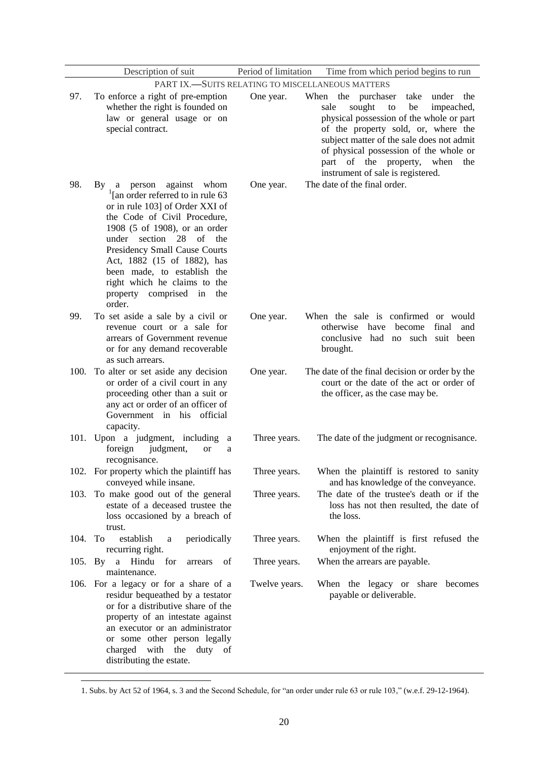|         | Description of suit                                                                                                                                                                                                                                                                                                                                                                | Period of limitation | Time from which period begins to run                                                                                                                                                                                                                                                                                                    |
|---------|------------------------------------------------------------------------------------------------------------------------------------------------------------------------------------------------------------------------------------------------------------------------------------------------------------------------------------------------------------------------------------|----------------------|-----------------------------------------------------------------------------------------------------------------------------------------------------------------------------------------------------------------------------------------------------------------------------------------------------------------------------------------|
|         |                                                                                                                                                                                                                                                                                                                                                                                    |                      | PART IX.-SUITS RELATING TO MISCELLANEOUS MATTERS                                                                                                                                                                                                                                                                                        |
| 97.     | To enforce a right of pre-emption<br>whether the right is founded on<br>law or general usage or on<br>special contract.                                                                                                                                                                                                                                                            | One year.            | When the purchaser<br>take<br>under the<br>sought<br>impeached,<br>sale<br>to<br>be<br>physical possession of the whole or part<br>of the property sold, or, where the<br>subject matter of the sale does not admit<br>of physical possession of the whole or<br>part of the property, when<br>the<br>instrument of sale is registered. |
| 98.     | By a person<br>against whom<br>$\frac{1}{2}$ [an order referred to in rule 63<br>or in rule 103] of Order XXI of<br>the Code of Civil Procedure,<br>1908 (5 of 1908), or an order<br>under section 28 of the<br>Presidency Small Cause Courts<br>Act, 1882 (15 of 1882), has<br>been made, to establish the<br>right which he claims to the<br>property comprised in the<br>order. | One year.            | The date of the final order.                                                                                                                                                                                                                                                                                                            |
| 99.     | To set aside a sale by a civil or<br>revenue court or a sale for<br>arrears of Government revenue<br>or for any demand recoverable<br>as such arrears.                                                                                                                                                                                                                             | One year.            | When the sale is confirmed or would<br>otherwise have<br>become<br>final<br>and<br>conclusive<br>had no such suit been<br>brought.                                                                                                                                                                                                      |
| 100.    | To alter or set aside any decision<br>or order of a civil court in any<br>proceeding other than a suit or<br>any act or order of an officer of<br>Government in his official<br>capacity.                                                                                                                                                                                          | One year.            | The date of the final decision or order by the<br>court or the date of the act or order of<br>the officer, as the case may be.                                                                                                                                                                                                          |
| 101.    | Upon a judgment, including<br>a<br>foreign<br>judgment,<br><b>or</b><br>a<br>recognisance.                                                                                                                                                                                                                                                                                         | Three years.         | The date of the judgment or recognisance.                                                                                                                                                                                                                                                                                               |
|         | 102. For property which the plaintiff has<br>conveyed while insane.                                                                                                                                                                                                                                                                                                                | Three years.         | When the plaintiff is restored to sanity<br>and has knowledge of the conveyance.                                                                                                                                                                                                                                                        |
| 103.    | To make good out of the general<br>estate of a deceased trustee the<br>loss occasioned by a breach of<br>trust.                                                                                                                                                                                                                                                                    | Three years.         | The date of the trustee's death or if the<br>loss has not then resulted, the date of<br>the loss.                                                                                                                                                                                                                                       |
| 104.    | To<br>establish<br>periodically<br>a<br>recurring right.                                                                                                                                                                                                                                                                                                                           | Three years.         | When the plaintiff is first refused the<br>enjoyment of the right.                                                                                                                                                                                                                                                                      |
| 105. By | Hindu<br>a<br>for<br>of<br>arrears<br>maintenance.                                                                                                                                                                                                                                                                                                                                 | Three years.         | When the arrears are payable.                                                                                                                                                                                                                                                                                                           |
|         | 106. For a legacy or for a share of a<br>residur bequeathed by a testator<br>or for a distributive share of the<br>property of an intestate against<br>an executor or an administrator<br>or some other person legally<br>with<br>duty of<br>charged<br>the<br>distributing the estate.                                                                                            | Twelve years.        | When the legacy or share becomes<br>payable or deliverable.                                                                                                                                                                                                                                                                             |

<sup>1.</sup> Subs. by Act 52 of 1964, s. 3 and the Second Schedule, for "an order under rule 63 or rule 103," (w.e.f. 29-12-1964).

**.**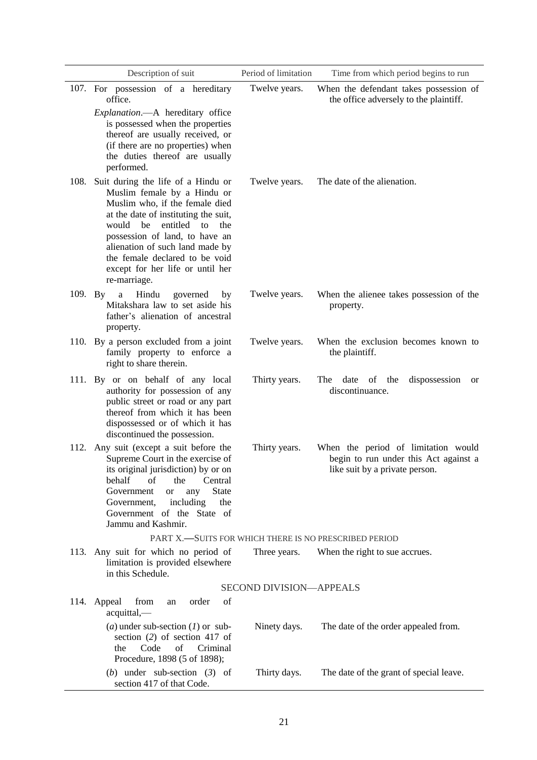|      | Description of suit                                                                                                                                                                                                                                                                                                                        | Period of limitation    | Time from which period begins to run                                                                           |
|------|--------------------------------------------------------------------------------------------------------------------------------------------------------------------------------------------------------------------------------------------------------------------------------------------------------------------------------------------|-------------------------|----------------------------------------------------------------------------------------------------------------|
|      | 107. For possession of a hereditary<br>office.                                                                                                                                                                                                                                                                                             | Twelve years.           | When the defendant takes possession of<br>the office adversely to the plaintiff.                               |
|      | Explanation.- A hereditary office<br>is possessed when the properties<br>thereof are usually received, or<br>(if there are no properties) when<br>the duties thereof are usually<br>performed.                                                                                                                                             |                         |                                                                                                                |
|      | 108. Suit during the life of a Hindu or<br>Muslim female by a Hindu or<br>Muslim who, if the female died<br>at the date of instituting the suit,<br>would be entitled to<br>the<br>possession of land, to have an<br>alienation of such land made by<br>the female declared to be void<br>except for her life or until her<br>re-marriage. | Twelve years.           | The date of the alienation.                                                                                    |
|      | Hindu<br>109. By<br>a<br>governed<br>by<br>Mitakshara law to set aside his<br>father's alienation of ancestral<br>property.                                                                                                                                                                                                                | Twelve years.           | When the alienee takes possession of the<br>property.                                                          |
|      | 110. By a person excluded from a joint<br>family property to enforce a<br>right to share therein.                                                                                                                                                                                                                                          | Twelve years.           | When the exclusion becomes known to<br>the plaintiff.                                                          |
|      | 111. By or on behalf of any local<br>authority for possession of any<br>public street or road or any part<br>thereof from which it has been<br>dispossessed or of which it has<br>discontinued the possession.                                                                                                                             | Thirty years.           | date of the<br>dispossession<br>The<br><b>or</b><br>discontinuance.                                            |
| 112. | Any suit (except a suit before the<br>Supreme Court in the exercise of<br>its original jurisdiction) by or on<br>behalf<br>of<br>Central<br>the<br><b>State</b><br>Government<br>any<br>or<br>Government,<br>including<br>the<br>Government of the State of<br>Jammu and Kashmir.                                                          | Thirty years.           | When the period of limitation would<br>begin to run under this Act against a<br>like suit by a private person. |
|      | PART X.-SUITS FOR WHICH THERE IS NO PRESCRIBED PERIOD                                                                                                                                                                                                                                                                                      |                         |                                                                                                                |
| 113. | Any suit for which no period of<br>limitation is provided elsewhere<br>in this Schedule.                                                                                                                                                                                                                                                   | Three years.            | When the right to sue accrues.                                                                                 |
|      |                                                                                                                                                                                                                                                                                                                                            | SECOND DIVISION-APPEALS |                                                                                                                |
|      | from<br>order<br>of<br>114. Appeal<br>an<br>acquittal,-                                                                                                                                                                                                                                                                                    |                         |                                                                                                                |
|      | ( <i>a</i> ) under sub-section ( <i>l</i> ) or sub-<br>section $(2)$ of section 417 of<br>Code<br>of<br>Criminal<br>the<br>Procedure, 1898 (5 of 1898);                                                                                                                                                                                    | Ninety days.            | The date of the order appealed from.                                                                           |
|      | (b) under sub-section $(3)$ of<br>section 417 of that Code.                                                                                                                                                                                                                                                                                | Thirty days.            | The date of the grant of special leave.                                                                        |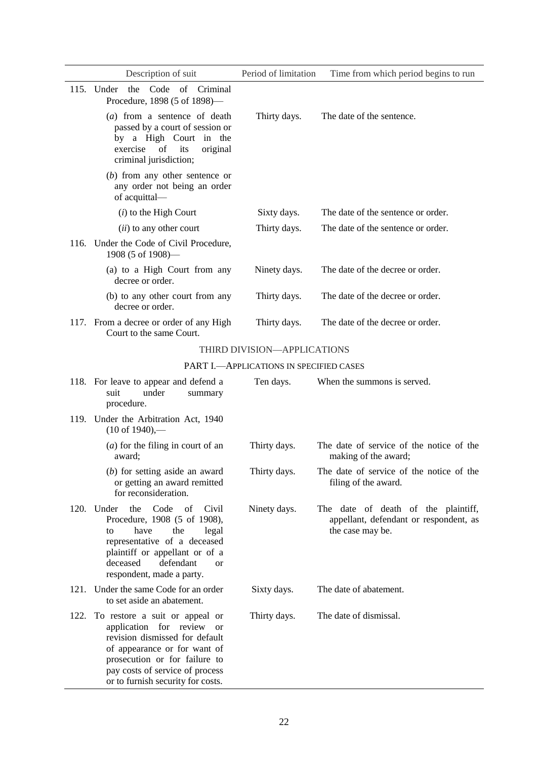|      | Description of suit                                                                                                                                                                                                                              | Period of limitation                      | Time from which period begins to run                                                              |
|------|--------------------------------------------------------------------------------------------------------------------------------------------------------------------------------------------------------------------------------------------------|-------------------------------------------|---------------------------------------------------------------------------------------------------|
|      | 115. Under the Code of Criminal<br>Procedure, 1898 (5 of 1898)-                                                                                                                                                                                  |                                           |                                                                                                   |
|      | (a) from a sentence of death<br>passed by a court of session or<br>by a High Court in the<br>of<br>its<br>exercise<br>original<br>criminal jurisdiction;                                                                                         | Thirty days.                              | The date of the sentence.                                                                         |
|      | $(b)$ from any other sentence or<br>any order not being an order<br>of acquittal-                                                                                                                                                                |                                           |                                                                                                   |
|      | $(i)$ to the High Court                                                                                                                                                                                                                          | Sixty days.                               | The date of the sentence or order.                                                                |
|      | ( <i>ii</i> ) to any other court                                                                                                                                                                                                                 | Thirty days.                              | The date of the sentence or order.                                                                |
|      | 116. Under the Code of Civil Procedure,<br>1908 (5 of 1908)-                                                                                                                                                                                     |                                           |                                                                                                   |
|      | (a) to a High Court from any<br>decree or order.                                                                                                                                                                                                 | Ninety days.                              | The date of the decree or order.                                                                  |
|      | (b) to any other court from any<br>decree or order.                                                                                                                                                                                              | Thirty days.                              | The date of the decree or order.                                                                  |
|      | 117. From a decree or order of any High<br>Court to the same Court.                                                                                                                                                                              | Thirty days.                              | The date of the decree or order.                                                                  |
|      |                                                                                                                                                                                                                                                  | THIRD DIVISION-APPLICATIONS               |                                                                                                   |
|      |                                                                                                                                                                                                                                                  | PART I. - APPLICATIONS IN SPECIFIED CASES |                                                                                                   |
|      | 118. For leave to appear and defend a<br>suit<br>under<br>summary<br>procedure.                                                                                                                                                                  | Ten days.                                 | When the summons is served.                                                                       |
|      | 119. Under the Arbitration Act, 1940<br>$(10 \text{ of } 1940)$ ,—                                                                                                                                                                               |                                           |                                                                                                   |
|      | $(a)$ for the filing in court of an<br>award;                                                                                                                                                                                                    | Thirty days.                              | The date of service of the notice of the<br>making of the award;                                  |
|      | $(b)$ for setting aside an award<br>or getting an award remitted<br>for reconsideration.                                                                                                                                                         | Thirty days.                              | The date of service of the notice of the<br>filing of the award.                                  |
|      | the<br>Code<br>of<br>Civil<br>120. Under<br>Procedure, 1908 (5 of 1908),<br>have<br>the<br>legal<br>to<br>representative of a deceased<br>plaintiff or appellant or of a<br>deceased<br>defendant<br><b>or</b><br>respondent, made a party.      | Ninety days.                              | The date of death of the plaintiff,<br>appellant, defendant or respondent, as<br>the case may be. |
| 121. | Under the same Code for an order<br>to set aside an abatement.                                                                                                                                                                                   | Sixty days.                               | The date of abatement.                                                                            |
| 122. | To restore a suit or appeal or<br>application for review<br><b>or</b><br>revision dismissed for default<br>of appearance or for want of<br>prosecution or for failure to<br>pay costs of service of process<br>or to furnish security for costs. | Thirty days.                              | The date of dismissal.                                                                            |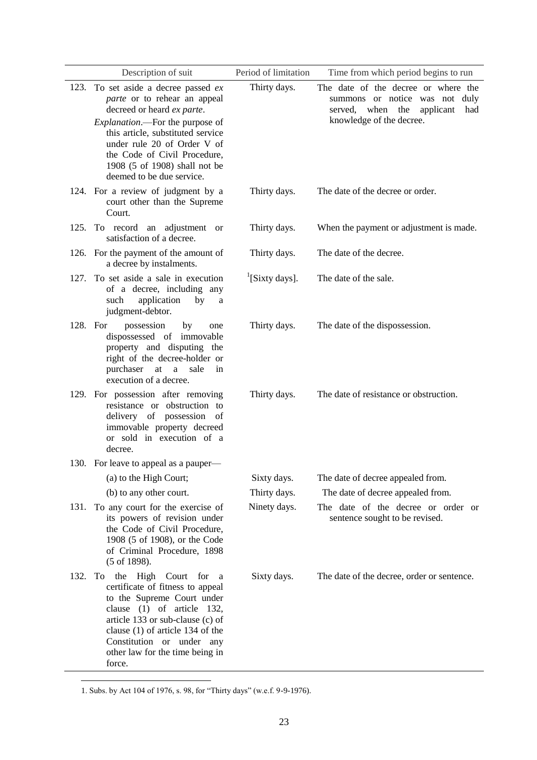|          | Description of suit                                                                                                                                                                                                                                                                                              | Period of limitation       | Time from which period begins to run                                                                                                      |
|----------|------------------------------------------------------------------------------------------------------------------------------------------------------------------------------------------------------------------------------------------------------------------------------------------------------------------|----------------------------|-------------------------------------------------------------------------------------------------------------------------------------------|
|          | 123. To set aside a decree passed ex<br><i>parte</i> or to rehear an appeal<br>decreed or heard ex parte.<br>Explanation.-- For the purpose of<br>this article, substituted service<br>under rule 20 of Order V of<br>the Code of Civil Procedure,<br>1908 (5 of 1908) shall not be<br>deemed to be due service. | Thirty days.               | The date of the decree or where the<br>summons or notice was not duly<br>served, when the<br>applicant<br>had<br>knowledge of the decree. |
|          | 124. For a review of judgment by a<br>court other than the Supreme<br>Court.                                                                                                                                                                                                                                     | Thirty days.               | The date of the decree or order.                                                                                                          |
| 125.     | To record an adjustment or<br>satisfaction of a decree.                                                                                                                                                                                                                                                          | Thirty days.               | When the payment or adjustment is made.                                                                                                   |
|          | 126. For the payment of the amount of<br>a decree by instalments.                                                                                                                                                                                                                                                | Thirty days.               | The date of the decree.                                                                                                                   |
| 127.     | To set aside a sale in execution<br>of a decree, including any<br>application<br>such<br>by<br>a<br>judgment-debtor.                                                                                                                                                                                             | <sup>1</sup> [Sixty days]. | The date of the sale.                                                                                                                     |
| 128. For | possession<br>by<br>one<br>dispossessed of immovable<br>property and disputing the<br>right of the decree-holder or<br>purchaser at<br>$\mathbf{a}$<br>sale<br>in<br>execution of a decree.                                                                                                                      | Thirty days.               | The date of the dispossession.                                                                                                            |
|          | 129. For possession after removing<br>resistance or obstruction to<br>delivery of possession of<br>immovable property decreed<br>or sold in execution of a<br>decree.                                                                                                                                            | Thirty days.               | The date of resistance or obstruction.                                                                                                    |
|          | 130. For leave to appeal as a pauper-                                                                                                                                                                                                                                                                            |                            |                                                                                                                                           |
|          | (a) to the High Court;                                                                                                                                                                                                                                                                                           | Sixty days.                | The date of decree appealed from.                                                                                                         |
|          | (b) to any other court.                                                                                                                                                                                                                                                                                          | Thirty days.               | The date of decree appealed from.                                                                                                         |
| 131.     | To any court for the exercise of<br>its powers of revision under<br>the Code of Civil Procedure,<br>1908 (5 of 1908), or the Code<br>of Criminal Procedure, 1898<br>$(5 \text{ of } 1898).$                                                                                                                      | Ninety days.               | The date of the decree or order or<br>sentence sought to be revised.                                                                      |
| 132.     | the High Court<br>To<br>for<br>a a<br>certificate of fitness to appeal<br>to the Supreme Court under<br>clause (1) of article 132,<br>article 133 or sub-clause (c) of<br>clause $(1)$ of article 134 of the<br>Constitution or under any<br>other law for the time being in<br>force.                           | Sixty days.                | The date of the decree, order or sentence.                                                                                                |

<sup>1.</sup> Subs. by Act 104 of 1976, s. 98, for "Thirty days" (w.e.f. 9-9-1976).

**.**